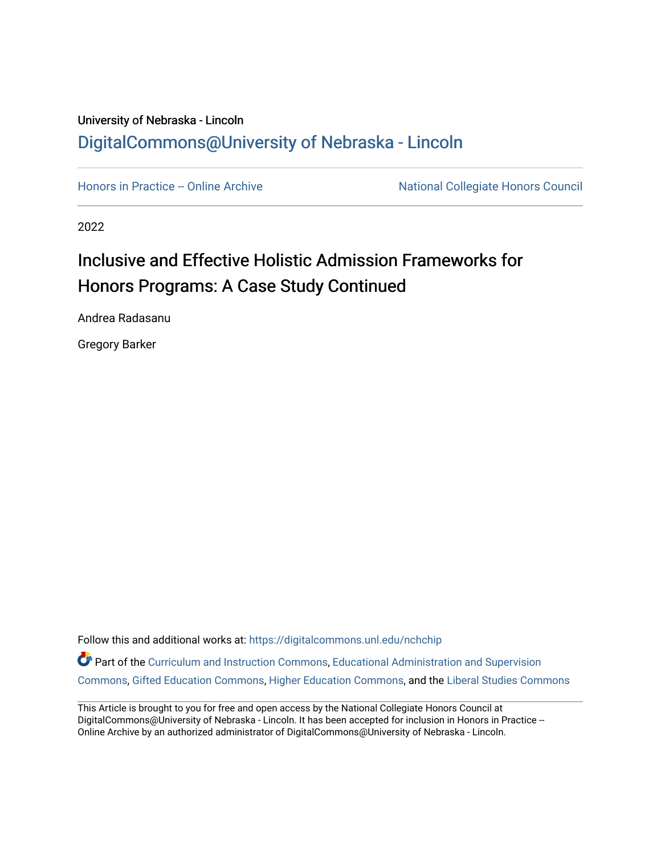# University of Nebraska - Lincoln [DigitalCommons@University of Nebraska - Lincoln](https://digitalcommons.unl.edu/)

[Honors in Practice -- Online Archive](https://digitalcommons.unl.edu/nchchip) National Collegiate Honors Council

2022

# Inclusive and Effective Holistic Admission Frameworks for Honors Programs: A Case Study Continued

Andrea Radasanu

Gregory Barker

Follow this and additional works at: [https://digitalcommons.unl.edu/nchchip](https://digitalcommons.unl.edu/nchchip?utm_source=digitalcommons.unl.edu%2Fnchchip%2F380&utm_medium=PDF&utm_campaign=PDFCoverPages) 

Part of the [Curriculum and Instruction Commons,](http://network.bepress.com/hgg/discipline/786?utm_source=digitalcommons.unl.edu%2Fnchchip%2F380&utm_medium=PDF&utm_campaign=PDFCoverPages) Educational Administration and Supervision [Commons](http://network.bepress.com/hgg/discipline/787?utm_source=digitalcommons.unl.edu%2Fnchchip%2F380&utm_medium=PDF&utm_campaign=PDFCoverPages), [Gifted Education Commons,](http://network.bepress.com/hgg/discipline/1048?utm_source=digitalcommons.unl.edu%2Fnchchip%2F380&utm_medium=PDF&utm_campaign=PDFCoverPages) [Higher Education Commons](http://network.bepress.com/hgg/discipline/1245?utm_source=digitalcommons.unl.edu%2Fnchchip%2F380&utm_medium=PDF&utm_campaign=PDFCoverPages), and the [Liberal Studies Commons](http://network.bepress.com/hgg/discipline/1042?utm_source=digitalcommons.unl.edu%2Fnchchip%2F380&utm_medium=PDF&utm_campaign=PDFCoverPages)

This Article is brought to you for free and open access by the National Collegiate Honors Council at DigitalCommons@University of Nebraska - Lincoln. It has been accepted for inclusion in Honors in Practice --Online Archive by an authorized administrator of DigitalCommons@University of Nebraska - Lincoln.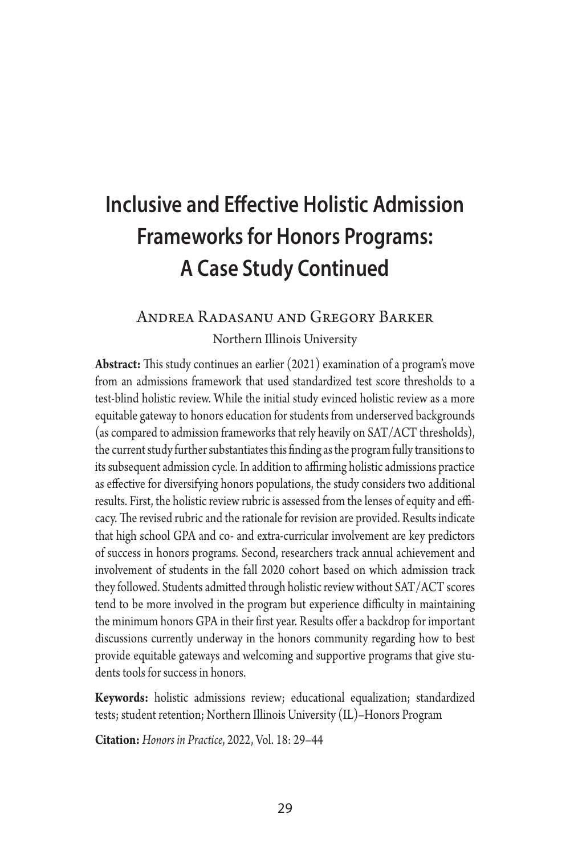# **Inclusive and Effective Holistic Admission Frameworks for Honors Programs: A Case Study Continued**

# Andrea Radasanu and Gregory Barker

Northern Illinois University

**Abstract:** This study continues an earlier (2021) examination of a program's move from an admissions framework that used standardized test score thresholds to a test-blind holistic review. While the initial study evinced holistic review as a more equitable gateway to honors education for students from underserved backgrounds (as compared to admission frameworks that rely heavily on SAT/ACT thresholds), the current study further substantiates this finding as the program fully transitions to its subsequent admission cycle. In addition to affirming holistic admissions practice as effective for diversifying honors populations, the study considers two additional results. First, the holistic review rubric is assessed from the lenses of equity and efficacy. The revised rubric and the rationale for revision are provided. Results indicate that high school GPA and co- and extra-curricular involvement are key predictors of success in honors programs. Second, researchers track annual achievement and involvement of students in the fall 2020 cohort based on which admission track they followed. Students admitted through holistic review without SAT/ACT scores tend to be more involved in the program but experience difficulty in maintaining the minimum honors GPA in their first year. Results offer a backdrop for important discussions currently underway in the honors community regarding how to best provide equitable gateways and welcoming and supportive programs that give students tools for success in honors.

**Keywords:** holistic admissions review; educational equalization; standardized tests; student retention; Northern Illinois University (IL)–Honors Program

**Citation:** *Honors in Practice*, 2022, Vol. 18: 29–44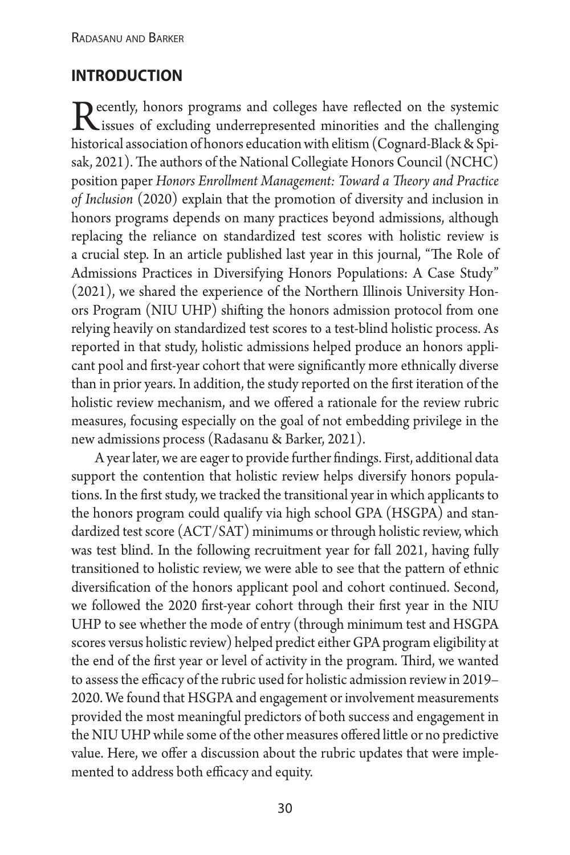#### **introduction**

 $\bf{D}$  ecently, honors programs and colleges have reflected on the systemic  $\mathbf{\Lambda}$  issues of excluding underrepresented minorities and the challenging historical association of honors education with elitism (Cognard-Black & Spisak, 2021). The authors of the National Collegiate Honors Council (NCHC) position paper *Honors Enrollment Management: Toward a Theory and Practice of Inclusion* (2020) explain that the promotion of diversity and inclusion in honors programs depends on many practices beyond admissions, although replacing the reliance on standardized test scores with holistic review is a crucial step. In an article published last year in this journal, "The Role of Admissions Practices in Diversifying Honors Populations: A Case Study" (2021), we shared the experience of the Northern Illinois University Honors Program (NIU UHP) shifting the honors admission protocol from one relying heavily on standardized test scores to a test-blind holistic process. As reported in that study, holistic admissions helped produce an honors applicant pool and first-year cohort that were significantly more ethnically diverse than in prior years. In addition, the study reported on the first iteration of the holistic review mechanism, and we offered a rationale for the review rubric measures, focusing especially on the goal of not embedding privilege in the new admissions process (Radasanu & Barker, 2021).

A year later, we are eager to provide further findings. First, additional data support the contention that holistic review helps diversify honors populations. In the first study, we tracked the transitional year in which applicants to the honors program could qualify via high school GPA (HSGPA) and standardized test score (ACT/SAT) minimums or through holistic review, which was test blind. In the following recruitment year for fall 2021, having fully transitioned to holistic review, we were able to see that the pattern of ethnic diversification of the honors applicant pool and cohort continued. Second, we followed the 2020 first-year cohort through their first year in the NIU UHP to see whether the mode of entry (through minimum test and HSGPA scores versus holistic review) helped predict either GPA program eligibility at the end of the first year or level of activity in the program. Third, we wanted to assess the efficacy of the rubric used for holistic admission review in 2019– 2020. We found that HSGPA and engagement or involvement measurements provided the most meaningful predictors of both success and engagement in the NIU UHP while some of the other measures offered little or no predictive value. Here, we offer a discussion about the rubric updates that were implemented to address both efficacy and equity.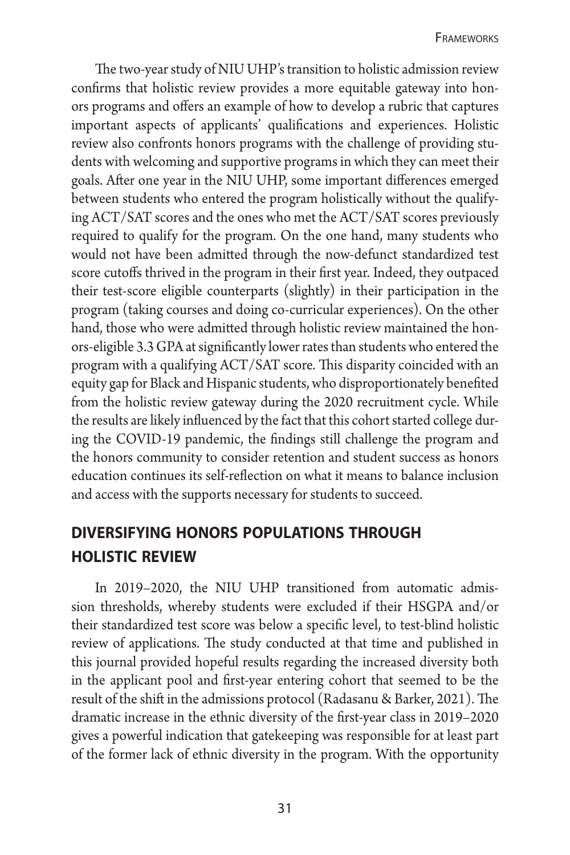The two-year study of NIU UHP's transition to holistic admission review confirms that holistic review provides a more equitable gateway into honors programs and offers an example of how to develop a rubric that captures important aspects of applicants' qualifications and experiences. Holistic review also confronts honors programs with the challenge of providing students with welcoming and supportive programs in which they can meet their goals. After one year in the NIU UHP, some important differences emerged between students who entered the program holistically without the qualifying ACT/SAT scores and the ones who met the ACT/SAT scores previously required to qualify for the program. On the one hand, many students who would not have been admitted through the now-defunct standardized test score cutoffs thrived in the program in their first year. Indeed, they outpaced their test-score eligible counterparts (slightly) in their participation in the program (taking courses and doing co-curricular experiences). On the other hand, those who were admitted through holistic review maintained the honors-eligible 3.3 GPA at significantly lower rates than students who entered the program with a qualifying ACT/SAT score. This disparity coincided with an equity gap for Black and Hispanic students, who disproportionately benefited from the holistic review gateway during the 2020 recruitment cycle. While the results are likely influenced by the fact that this cohort started college during the COVID-19 pandemic, the findings still challenge the program and the honors community to consider retention and student success as honors education continues its self-reflection on what it means to balance inclusion and access with the supports necessary for students to succeed.

# **diversifying honors populations through holistic review**

In 2019–2020, the NIU UHP transitioned from automatic admission thresholds, whereby students were excluded if their HSGPA and/or their standardized test score was below a specific level, to test-blind holistic review of applications. The study conducted at that time and published in this journal provided hopeful results regarding the increased diversity both in the applicant pool and first-year entering cohort that seemed to be the result of the shift in the admissions protocol (Radasanu & Barker, 2021). The dramatic increase in the ethnic diversity of the first-year class in 2019–2020 gives a powerful indication that gatekeeping was responsible for at least part of the former lack of ethnic diversity in the program. With the opportunity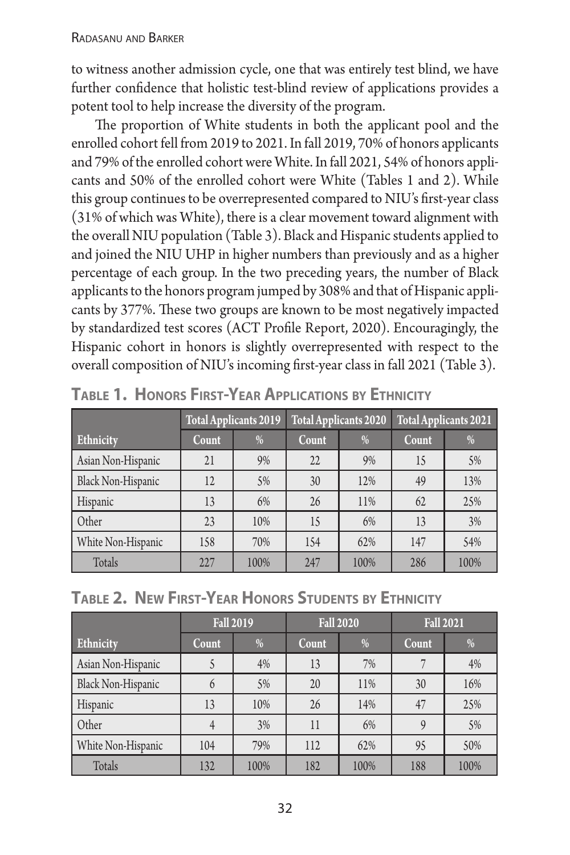to witness another admission cycle, one that was entirely test blind, we have further confidence that holistic test-blind review of applications provides a potent tool to help increase the diversity of the program.

The proportion of White students in both the applicant pool and the enrolled cohort fell from 2019 to 2021. In fall 2019, 70% of honors applicants and 79% of the enrolled cohort were White. In fall 2021, 54% of honors applicants and 50% of the enrolled cohort were White (Tables 1 and 2). While this group continues to be overrepresented compared to NIU's first-year class (31% of which was White), there is a clear movement toward alignment with the overall NIU population (Table 3). Black and Hispanic students applied to and joined the NIU UHP in higher numbers than previously and as a higher percentage of each group. In the two preceding years, the number of Black applicants to the honors program jumped by 308% and that of Hispanic applicants by 377%. These two groups are known to be most negatively impacted by standardized test scores (ACT Profile Report, 2020). Encouragingly, the Hispanic cohort in honors is slightly overrepresented with respect to the overall composition of NIU's incoming first-year class in fall 2021 (Table 3).

|                           | <b>Total Applicants 2019</b> |      |       | <b>Total Applicants 2020</b> | Total Applicants 2021 |               |
|---------------------------|------------------------------|------|-------|------------------------------|-----------------------|---------------|
| Ethnicity                 | Count                        | $\%$ | Count | $\frac{0}{0}$                | <b>Count</b>          | $\frac{0}{0}$ |
| Asian Non-Hispanic        | 21                           | 9%   | 22    | 9%                           | 15                    | 5%            |
| <b>Black Non-Hispanic</b> | 12                           | 5%   | 30    | 12%                          | 49                    | 13%           |
| Hispanic                  | 13                           | 6%   | 26    | 11%                          | 62                    | 25%           |
| Other                     | 23                           | 10%  | 15    | 6%                           | 13                    | 3%            |
| White Non-Hispanic        | 158                          | 70%  | 154   | 62%                          | 147                   | 54%           |
| Totals                    | 227                          | 100% | 247   | 100%                         | 286                   | 100%          |

|  |  |  | TABLE 1. HONORS FIRST-YEAR APPLICATIONS BY ETHNICITY |  |
|--|--|--|------------------------------------------------------|--|
|--|--|--|------------------------------------------------------|--|

| TABLE 2. NEW FIRST-YEAR HONORS STUDENTS BY ETHNICITY |  |  |  |
|------------------------------------------------------|--|--|--|
|------------------------------------------------------|--|--|--|

|                    | <b>Fall 2019</b> |      |       | <b>Fall 2020</b> | <b>Fall 2021</b> |               |
|--------------------|------------------|------|-------|------------------|------------------|---------------|
| Ethnicity          | Count            | %    | Count | %                | <b>Count</b>     | $\frac{0}{6}$ |
| Asian Non-Hispanic |                  | 4%   | 13    | 7%               |                  | 4%            |
| Black Non-Hispanic | 6                | 5%   | 20    | 11%              | 30               | 16%           |
| Hispanic           | 13               | 10%  | 26    | 14%              | 47               | 25%           |
| Other              |                  | 3%   | 11    | 6%               |                  | 5%            |
| White Non-Hispanic | 104              | 79%  | 112   | 62%              | 95               | 50%           |
| Totals             | 132              | 100% | 182   | 100%             | 188              | 100%          |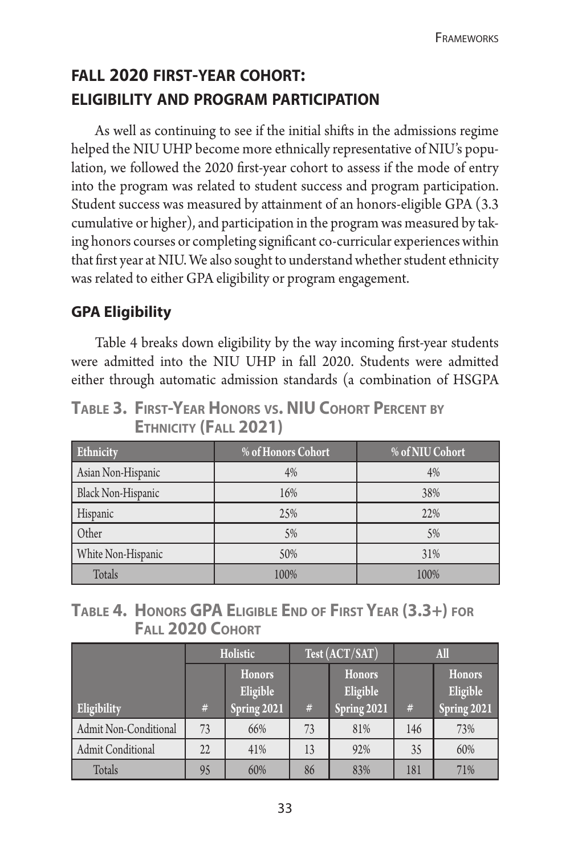# **fall 2020 first-year cohort: eligibility and program participation**

As well as continuing to see if the initial shifts in the admissions regime helped the NIU UHP become more ethnically representative of NIU's population, we followed the 2020 first-year cohort to assess if the mode of entry into the program was related to student success and program participation. Student success was measured by attainment of an honors-eligible GPA (3.3 cumulative or higher), and participation in the program was measured by taking honors courses or completing significant co-curricular experiences within that first year at NIU. We also sought to understand whether student ethnicity was related to either GPA eligibility or program engagement.

### **GPA Eligibility**

Table 4 breaks down eligibility by the way incoming first-year students were admitted into the NIU UHP in fall 2020. Students were admitted either through automatic admission standards (a combination of HSGPA

**Table 3. First-Year Honors vs. NIU Cohort Percent by Ethnicity (Fall 2021)**

| Ethnicity          | % of Honors Cohort | % of NIU Cohort |
|--------------------|--------------------|-----------------|
| Asian Non-Hispanic | 4%                 | 4%              |
| Black Non-Hispanic | 16%                | 38%             |
| Hispanic           | 25%                | 22%             |
| Other              | 5%                 | 5%              |
| White Non-Hispanic | 50%                | 31%             |
| Totals             | 100%               | 100%            |

#### **Table 4. Honors GPA Eligible End of First Year (3.3+) for Fall 2020 Cohort**

|                       | Holistic<br>Honors<br>Eligible<br>Spring 2021<br>$\#$ |     | Test (ACT/SAT) |                                          | <b>All</b> |                                   |
|-----------------------|-------------------------------------------------------|-----|----------------|------------------------------------------|------------|-----------------------------------|
| Eligibility           |                                                       |     | $\#$           | <b>Honors</b><br>Eligible<br>Spring 2021 | #          | Honors<br>Eligible<br>Spring 2021 |
| Admit Non-Conditional | 73                                                    | 66% | 73             | 81%                                      | 146        | 73%                               |
| Admit Conditional     | 22                                                    | 41% | 13             | 92%                                      | 35         | 60%                               |
| Totals                | 95                                                    | 60% | 86             | 83%                                      | 181        | 71%                               |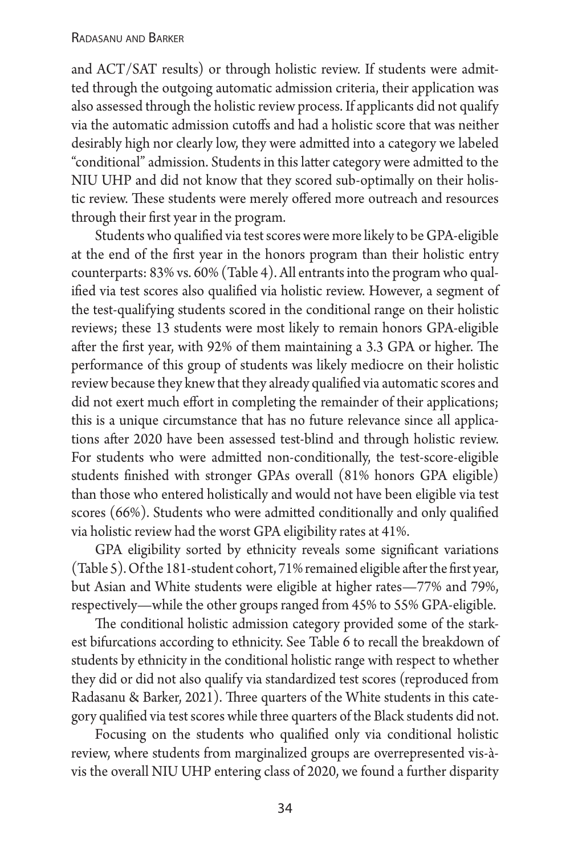#### Radasanu and Barker

and ACT/SAT results) or through holistic review. If students were admitted through the outgoing automatic admission criteria, their application was also assessed through the holistic review process. If applicants did not qualify via the automatic admission cutoffs and had a holistic score that was neither desirably high nor clearly low, they were admitted into a category we labeled "conditional" admission. Students in this latter category were admitted to the NIU UHP and did not know that they scored sub-optimally on their holistic review. These students were merely offered more outreach and resources through their first year in the program.

Students who qualified via test scores were more likely to be GPA-eligible at the end of the first year in the honors program than their holistic entry counterparts: 83% vs. 60% (Table 4). All entrants into the program who qualified via test scores also qualified via holistic review. However, a segment of the test-qualifying students scored in the conditional range on their holistic reviews; these 13 students were most likely to remain honors GPA-eligible after the first year, with 92% of them maintaining a 3.3 GPA or higher. The performance of this group of students was likely mediocre on their holistic review because they knew that they already qualified via automatic scores and did not exert much effort in completing the remainder of their applications; this is a unique circumstance that has no future relevance since all applications after 2020 have been assessed test-blind and through holistic review. For students who were admitted non-conditionally, the test-score-eligible students finished with stronger GPAs overall (81% honors GPA eligible) than those who entered holistically and would not have been eligible via test scores (66%). Students who were admitted conditionally and only qualified via holistic review had the worst GPA eligibility rates at 41%.

GPA eligibility sorted by ethnicity reveals some significant variations (Table 5). Of the 181-student cohort, 71% remained eligible after the first year, but Asian and White students were eligible at higher rates—77% and 79%, respectively—while the other groups ranged from 45% to 55% GPA-eligible.

The conditional holistic admission category provided some of the starkest bifurcations according to ethnicity. See Table 6 to recall the breakdown of students by ethnicity in the conditional holistic range with respect to whether they did or did not also qualify via standardized test scores (reproduced from Radasanu & Barker, 2021). Three quarters of the White students in this category qualified via test scores while three quarters of the Black students did not.

Focusing on the students who qualified only via conditional holistic review, where students from marginalized groups are overrepresented vis-àvis the overall NIU UHP entering class of 2020, we found a further disparity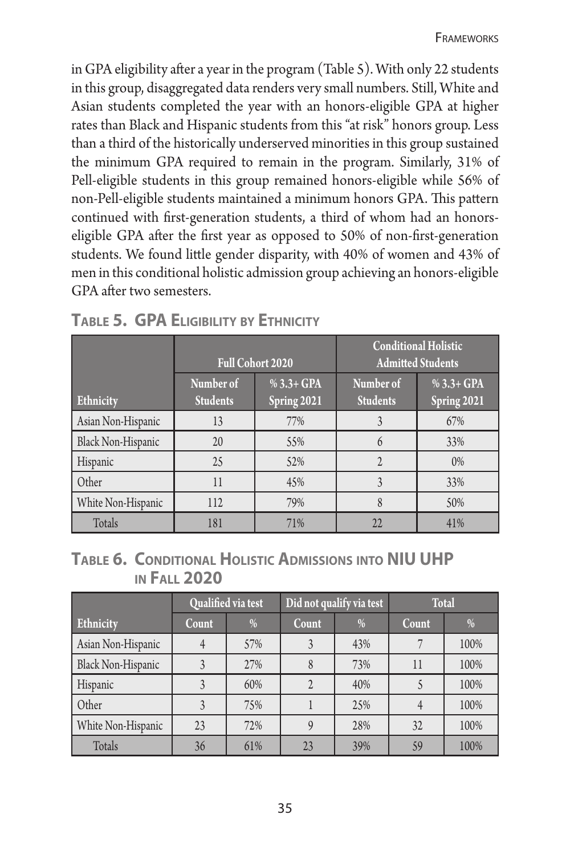in GPA eligibility after a year in the program (Table 5). With only 22 students in this group, disaggregated data renders very small numbers. Still, White and Asian students completed the year with an honors-eligible GPA at higher rates than Black and Hispanic students from this "at risk" honors group. Less than a third of the historically underserved minorities in this group sustained the minimum GPA required to remain in the program. Similarly, 31% of Pell-eligible students in this group remained honors-eligible while 56% of non-Pell-eligible students maintained a minimum honors GPA. This pattern continued with first-generation students, a third of whom had an honorseligible GPA after the first year as opposed to 50% of non-first-generation students. We found little gender disparity, with 40% of women and 43% of men in this conditional holistic admission group achieving an honors-eligible GPA after two semesters.

|                           |                              | <b>Conditional Holistic</b><br><b>Admitted Students</b><br><b>Full Cohort 2020</b> |                              |                              |
|---------------------------|------------------------------|------------------------------------------------------------------------------------|------------------------------|------------------------------|
| Ethnicity                 | Number of<br><b>Students</b> | % $3.3 + GPA$<br>Spring 2021                                                       | Number of<br><b>Students</b> | % $3.3 + GPA$<br>Spring 2021 |
| Asian Non-Hispanic        | 13                           | 77%                                                                                | 3                            | 67%                          |
| <b>Black Non-Hispanic</b> | 20                           | 55%                                                                                | $\mathsf{\hat{n}}$           | 33%                          |
| Hispanic                  | 25                           | 52%                                                                                |                              | 0%                           |
| Other                     | 11                           | 45%                                                                                | 3                            | 33%                          |
| White Non-Hispanic        | 112                          | 79%                                                                                | 8                            | 50%                          |
| Totals                    | 181                          | 71%                                                                                | 22                           | 41%                          |

**Table 5. GPA Eligibility by Ethnicity**

| TABLE 6. CONDITIONAL HOLISTIC ADMISSIONS INTO NIU UHP |  |
|-------------------------------------------------------|--|
| <b>IN FALL 2020</b>                                   |  |

|                    |       | Qualified via test | Did not qualify via test |     | <b>Total</b> |      |
|--------------------|-------|--------------------|--------------------------|-----|--------------|------|
| <b>Ethnicity</b>   | Count | %                  | Count                    | %   | Count        | %    |
| Asian Non-Hispanic |       | 57%                |                          | 43% |              | 100% |
| Black Non-Hispanic |       | 27%                | 8                        | 73% | 11           | 100% |
| Hispanic           |       | 60%                |                          | 40% |              | 100% |
| Other              |       | 75%                |                          | 25% |              | 100% |
| White Non-Hispanic | 23    | 72%                |                          | 28% | 32           | 100% |
| Totals             | 36    | 61%                | 23                       | 39% | 59           | 100% |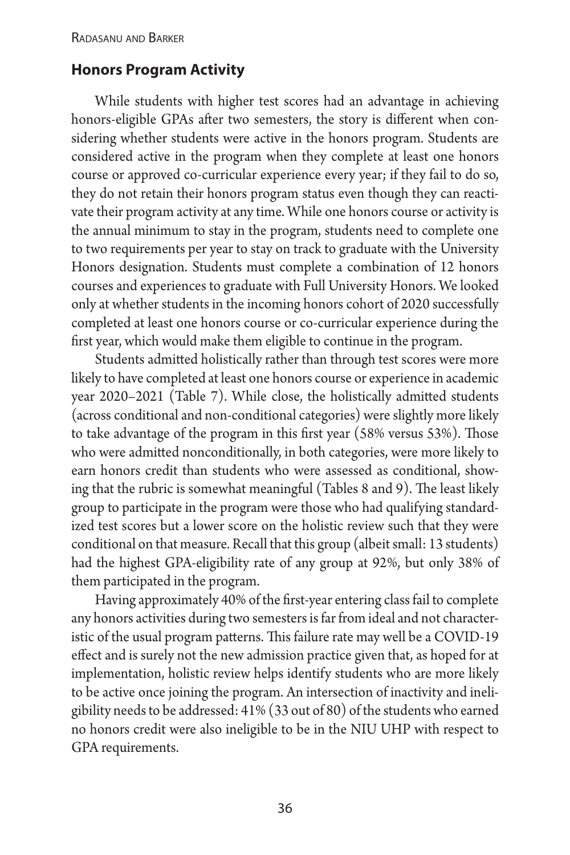#### **Honors Program Activity**

While students with higher test scores had an advantage in achieving honors-eligible GPAs after two semesters, the story is different when considering whether students were active in the honors program. Students are considered active in the program when they complete at least one honors course or approved co-curricular experience every year; if they fail to do so, they do not retain their honors program status even though they can reactivate their program activity at any time. While one honors course or activity is the annual minimum to stay in the program, students need to complete one to two requirements per year to stay on track to graduate with the University Honors designation. Students must complete a combination of 12 honors courses and experiences to graduate with Full University Honors. We looked only at whether students in the incoming honors cohort of 2020 successfully completed at least one honors course or co-curricular experience during the first year, which would make them eligible to continue in the program.

Students admitted holistically rather than through test scores were more likely to have completed at least one honors course or experience in academic year 2020–2021 (Table 7). While close, the holistically admitted students (across conditional and non-conditional categories) were slightly more likely to take advantage of the program in this first year (58% versus 53%). Those who were admitted nonconditionally, in both categories, were more likely to earn honors credit than students who were assessed as conditional, showing that the rubric is somewhat meaningful (Tables 8 and 9). The least likely group to participate in the program were those who had qualifying standardized test scores but a lower score on the holistic review such that they were conditional on that measure. Recall that this group (albeit small: 13 students) had the highest GPA-eligibility rate of any group at 92%, but only 38% of them participated in the program.

Having approximately 40% of the first-year entering class fail to complete any honors activities during two semesters is far from ideal and not characteristic of the usual program patterns. This failure rate may well be a COVID-19 effect and is surely not the new admission practice given that, as hoped for at implementation, holistic review helps identify students who are more likely to be active once joining the program. An intersection of inactivity and ineligibility needs to be addressed: 41% (33 out of 80) of the students who earned no honors credit were also ineligible to be in the NIU UHP with respect to GPA requirements.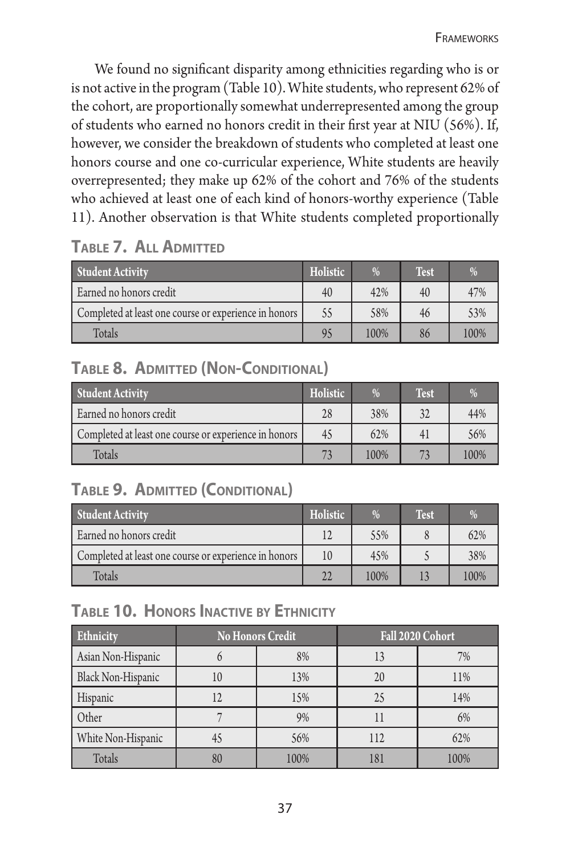We found no significant disparity among ethnicities regarding who is or is not active in the program (Table 10). White students, who represent 62% of the cohort, are proportionally somewhat underrepresented among the group of students who earned no honors credit in their first year at NIU (56%). If, however, we consider the breakdown of students who completed at least one honors course and one co-curricular experience, White students are heavily overrepresented; they make up 62% of the cohort and 76% of the students who achieved at least one of each kind of honors-worthy experience (Table 11). Another observation is that White students completed proportionally

### **Table 7. All Admitted**

| <b>Student Activity</b>                               | Holistic | $\%$ | Test | %    |
|-------------------------------------------------------|----------|------|------|------|
| Earned no honors credit                               | 40       | 42%  | 40   | 47%  |
| Completed at least one course or experience in honors | 55       | 58%  | 46   | 53%  |
| Totals                                                | 95       | 100% | 86   | 100% |

# **Table 8. Admitted (Non-Conditional)**

| <b>Student Activity</b>                               | Holistic | %    | <b>Test</b> | %    |
|-------------------------------------------------------|----------|------|-------------|------|
| Earned no honors credit                               | 28       | 38%  | 32          | 44%  |
| Completed at least one course or experience in honors | 45       | 62%  | 4           | 56%  |
| Totals                                                | 73       | 100% | 72          | 100% |

# **Table 9. Admitted (Conditional)**

| <b>Student Activity</b>                               | Holistic | $\frac{0}{0}$ | <b>Test</b> | $\frac{0}{0}$ |
|-------------------------------------------------------|----------|---------------|-------------|---------------|
| Earned no honors credit                               |          | 5.5%          |             | 62%           |
| Completed at least one course or experience in honors | 10       | 4.5%          |             | 38%           |
| <b>Totals</b>                                         | 22       | 100%          |             | 100%          |

### **Table 10. Honors Inactive by Ethnicity**

| Ethnicity          |    | <b>No Honors Credit</b> | Fall 2020 Cohort |      |  |
|--------------------|----|-------------------------|------------------|------|--|
| Asian Non-Hispanic |    | 8%                      | 13               | 7%   |  |
| Black Non-Hispanic | 10 | 13%                     | 20               | 11%  |  |
| <b>Hispanic</b>    |    | 15%                     | 25               | 14%  |  |
| Other              |    | 9%                      | П                | 6%   |  |
| White Non-Hispanic |    | 56%                     | 112              | 62%  |  |
| Totals             |    | 100%                    |                  | 100% |  |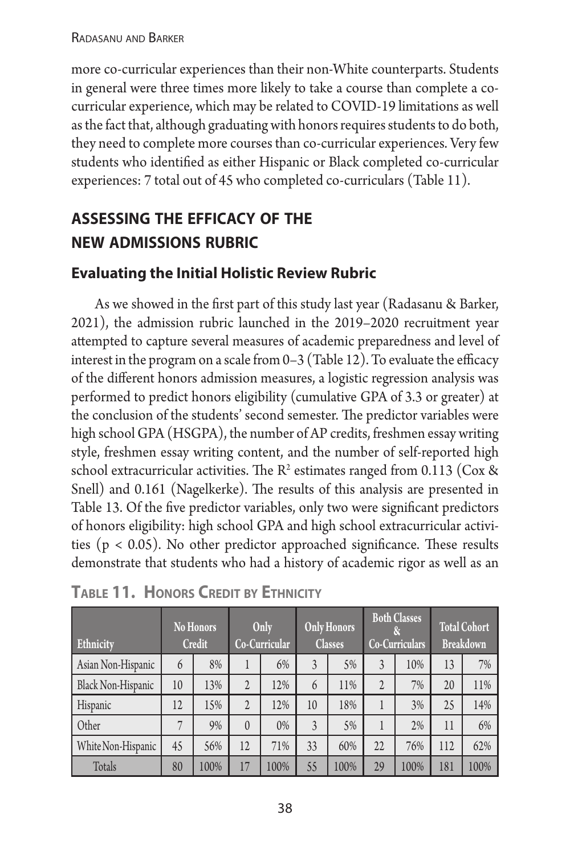#### Radasanu and Barker

more co-curricular experiences than their non-White counterparts. Students in general were three times more likely to take a course than complete a cocurricular experience, which may be related to COVID-19 limitations as well as the fact that, although graduating with honors requires students to do both, they need to complete more courses than co-curricular experiences. Very few students who identified as either Hispanic or Black completed co-curricular experiences: 7 total out of 45 who completed co-curriculars (Table 11).

# **assessing the efficacy of the new admissions rubric**

#### **Evaluating the Initial Holistic Review Rubric**

As we showed in the first part of this study last year (Radasanu & Barker, 2021), the admission rubric launched in the 2019–2020 recruitment year attempted to capture several measures of academic preparedness and level of interest in the program on a scale from  $0-3$  (Table 12). To evaluate the efficacy of the different honors admission measures, a logistic regression analysis was performed to predict honors eligibility (cumulative GPA of 3.3 or greater) at the conclusion of the students' second semester. The predictor variables were high school GPA (HSGPA), the number of AP credits, freshmen essay writing style, freshmen essay writing content, and the number of self-reported high school extracurricular activities. The  $\mathbb{R}^2$  estimates ranged from 0.113 (Cox & Snell) and 0.161 (Nagelkerke). The results of this analysis are presented in Table 13. Of the five predictor variables, only two were significant predictors of honors eligibility: high school GPA and high school extracurricular activities ( $p < 0.05$ ). No other predictor approached significance. These results demonstrate that students who had a history of academic rigor as well as an

| Ethnicity                 |    | <b>No Honors</b><br><b>Credit</b> | Only<br>Co-Curricular |      | <b>Only Honors</b><br><b>Classes</b> |      | <b>Both Classes</b><br>Co-Curriculars |      | <b>Total Cohort</b><br><b>Breakdown</b> |      |
|---------------------------|----|-----------------------------------|-----------------------|------|--------------------------------------|------|---------------------------------------|------|-----------------------------------------|------|
| Asian Non-Hispanic        | 6  | 8%                                |                       | 6%   | 3                                    | 5%   | 3                                     | 10%  | 13                                      | 7%   |
| <b>Black Non-Hispanic</b> | 10 | 13%                               | $\overline{2}$        | 12%  | 6                                    | 11%  | $\overline{2}$                        | 7%   | 20                                      | 11%  |
| Hispanic                  | 12 | 15%                               | $\overline{2}$        | 12%  | 10                                   | 18%  |                                       | 3%   | 25                                      | 14%  |
| Other                     | 7  | 9%                                | $\theta$              | 0%   | 3                                    | 5%   |                                       | 2%   | 11                                      | 6%   |
| White Non-Hispanic        | 45 | 56%                               | 12                    | 71%  | 33                                   | 60%  | 22                                    | 76%  | 112                                     | 62%  |
| Totals                    | 80 | 100%                              | 17                    | 100% | 55                                   | 100% | 29                                    | 100% | 181                                     | 100% |

| <b>TABLE 11. HONORS CREDIT BY ETHNICITY</b> |  |  |
|---------------------------------------------|--|--|
|---------------------------------------------|--|--|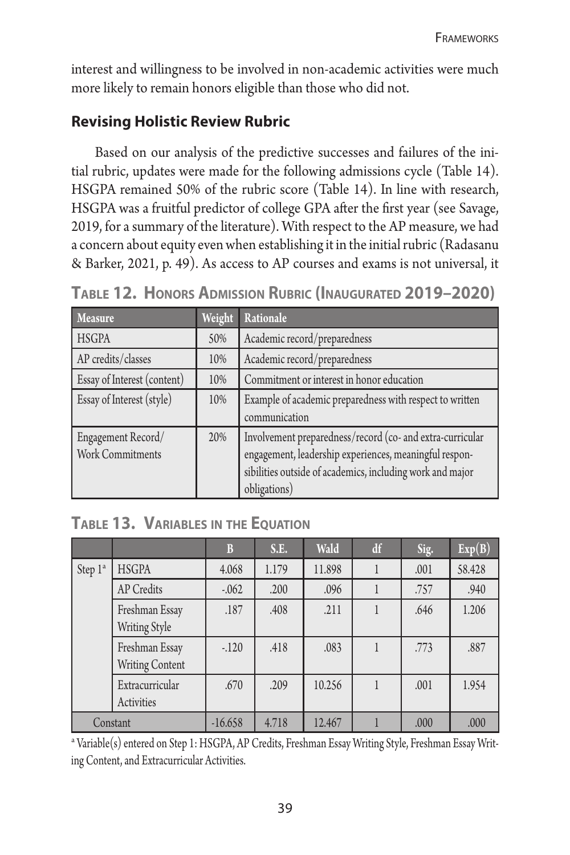interest and willingness to be involved in non-academic activities were much more likely to remain honors eligible than those who did not.

## **Revising Holistic Review Rubric**

Based on our analysis of the predictive successes and failures of the initial rubric, updates were made for the following admissions cycle (Table 14). HSGPA remained 50% of the rubric score (Table 14). In line with research, HSGPA was a fruitful predictor of college GPA after the first year (see Savage, 2019, for a summary of the literature). With respect to the AP measure, we had a concern about equity even when establishing it in the initial rubric (Radasanu & Barker, 2021, p. 49). As access to AP courses and exams is not universal, it

| <b>Measure</b>                                | Weight | Rationale                                                                                                                                                                                        |
|-----------------------------------------------|--------|--------------------------------------------------------------------------------------------------------------------------------------------------------------------------------------------------|
| <b>HSGPA</b>                                  | 50%    | Academic record/preparedness                                                                                                                                                                     |
| AP credits/classes                            | 10%    | Academic record/preparedness                                                                                                                                                                     |
| <b>Essay of Interest (content)</b>            | 10%    | Commitment or interest in honor education                                                                                                                                                        |
| <b>Essay of Interest (style)</b>              | 10%    | Example of academic preparedness with respect to written<br>communication                                                                                                                        |
| Engagement Record/<br><b>Work Commitments</b> | 20%    | Involvement preparedness/record (co- and extra-curricular<br>engagement, leadership experiences, meaningful respon-<br>sibilities outside of academics, including work and major<br>obligations) |

**Table 12. Honors Admission Rubric (Inaugurated 2019–2020)**

### **Table 13. Variables in the Equation**

|                     |                                          | B         | S.E.  | Wald   | df | Sig. | Exp(B) |
|---------------------|------------------------------------------|-----------|-------|--------|----|------|--------|
| Step 1 <sup>a</sup> | <b>HSGPA</b>                             | 4.068     | 1.179 | 11.898 |    | .001 | 58.428 |
|                     | AP Credits                               | $-0.062$  | .200  | .096   |    | .757 | .940   |
|                     | Freshman Essay<br>Writing Style          | .187      | .408  | .211   |    | .646 | 1.206  |
|                     | Freshman Essay<br><b>Writing Content</b> | $-.120$   | .418  | .083   | 1  | .773 | .887   |
|                     | Extracurricular<br>Activities            | .670      | .209  | 10.256 |    | .001 | 1.954  |
|                     | Constant                                 | $-16.658$ | 4.718 | 12.467 |    | .000 | .000   |

a Variable(s) entered on Step 1: HSGPA, AP Credits, Freshman Essay Writing Style, Freshman Essay Writing Content, and Extracurricular Activities.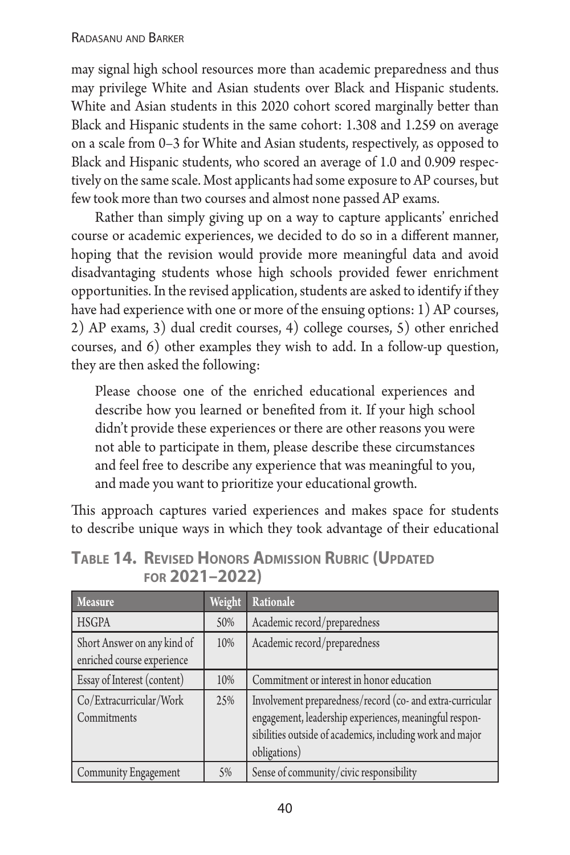may signal high school resources more than academic preparedness and thus may privilege White and Asian students over Black and Hispanic students. White and Asian students in this 2020 cohort scored marginally better than Black and Hispanic students in the same cohort: 1.308 and 1.259 on average on a scale from 0–3 for White and Asian students, respectively, as opposed to Black and Hispanic students, who scored an average of 1.0 and 0.909 respectively on the same scale. Most applicants had some exposure to AP courses, but few took more than two courses and almost none passed AP exams.

Rather than simply giving up on a way to capture applicants' enriched course or academic experiences, we decided to do so in a different manner, hoping that the revision would provide more meaningful data and avoid disadvantaging students whose high schools provided fewer enrichment opportunities. In the revised application, students are asked to identify if they have had experience with one or more of the ensuing options: 1) AP courses, 2) AP exams, 3) dual credit courses, 4) college courses, 5) other enriched courses, and 6) other examples they wish to add. In a follow-up question, they are then asked the following:

Please choose one of the enriched educational experiences and describe how you learned or benefited from it. If your high school didn't provide these experiences or there are other reasons you were not able to participate in them, please describe these circumstances and feel free to describe any experience that was meaningful to you, and made you want to prioritize your educational growth.

This approach captures varied experiences and makes space for students to describe unique ways in which they took advantage of their educational

| <b>Measure</b>                                            | Weight | Rationale                                                                                                                                                                                        |
|-----------------------------------------------------------|--------|--------------------------------------------------------------------------------------------------------------------------------------------------------------------------------------------------|
| <b>HSGPA</b>                                              | 50%    | Academic record/preparedness                                                                                                                                                                     |
| Short Answer on any kind of<br>enriched course experience | 10%    | Academic record/preparedness                                                                                                                                                                     |
| Essay of Interest (content)                               | 10%    | Commitment or interest in honor education                                                                                                                                                        |
| Co/Extracurricular/Work<br>Commitments                    | 25%    | Involvement preparedness/record (co- and extra-curricular<br>engagement, leadership experiences, meaningful respon-<br>sibilities outside of academics, including work and major<br>obligations) |
| Community Engagement                                      | 5%     | Sense of community/civic responsibility                                                                                                                                                          |

**Table 14. Revised Honors Admission Rubric (Updated for 2021–2022)**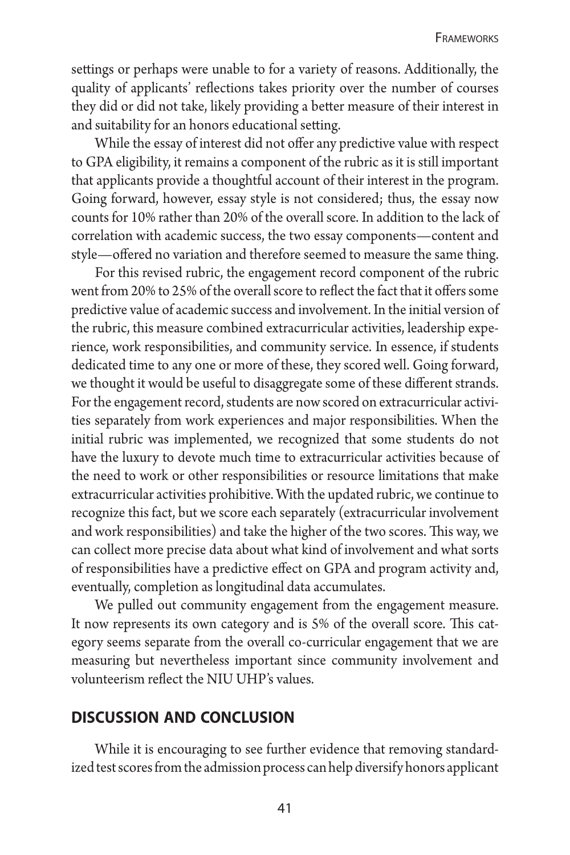settings or perhaps were unable to for a variety of reasons. Additionally, the quality of applicants' reflections takes priority over the number of courses they did or did not take, likely providing a better measure of their interest in and suitability for an honors educational setting.

While the essay of interest did not offer any predictive value with respect to GPA eligibility, it remains a component of the rubric as it is still important that applicants provide a thoughtful account of their interest in the program. Going forward, however, essay style is not considered; thus, the essay now counts for 10% rather than 20% of the overall score. In addition to the lack of correlation with academic success, the two essay components—content and style—offered no variation and therefore seemed to measure the same thing.

For this revised rubric, the engagement record component of the rubric went from 20% to 25% of the overall score to reflect the fact that it offers some predictive value of academic success and involvement. In the initial version of the rubric, this measure combined extracurricular activities, leadership experience, work responsibilities, and community service. In essence, if students dedicated time to any one or more of these, they scored well. Going forward, we thought it would be useful to disaggregate some of these different strands. For the engagement record, students are now scored on extracurricular activities separately from work experiences and major responsibilities. When the initial rubric was implemented, we recognized that some students do not have the luxury to devote much time to extracurricular activities because of the need to work or other responsibilities or resource limitations that make extracurricular activities prohibitive. With the updated rubric, we continue to recognize this fact, but we score each separately (extracurricular involvement and work responsibilities) and take the higher of the two scores. This way, we can collect more precise data about what kind of involvement and what sorts of responsibilities have a predictive effect on GPA and program activity and, eventually, completion as longitudinal data accumulates.

We pulled out community engagement from the engagement measure. It now represents its own category and is 5% of the overall score. This category seems separate from the overall co-curricular engagement that we are measuring but nevertheless important since community involvement and volunteerism reflect the NIU UHP's values.

#### **discussion and conclusion**

While it is encouraging to see further evidence that removing standardized test scores from the admission process can help diversify honors applicant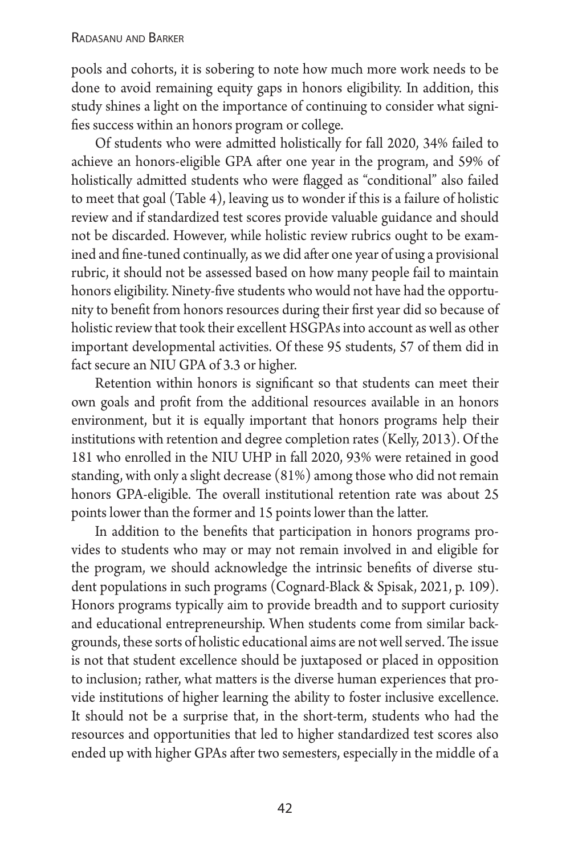#### Radasanu and Barker

pools and cohorts, it is sobering to note how much more work needs to be done to avoid remaining equity gaps in honors eligibility. In addition, this study shines a light on the importance of continuing to consider what signifies success within an honors program or college.

Of students who were admitted holistically for fall 2020, 34% failed to achieve an honors-eligible GPA after one year in the program, and 59% of holistically admitted students who were flagged as "conditional" also failed to meet that goal (Table 4), leaving us to wonder if this is a failure of holistic review and if standardized test scores provide valuable guidance and should not be discarded. However, while holistic review rubrics ought to be examined and fine-tuned continually, as we did after one year of using a provisional rubric, it should not be assessed based on how many people fail to maintain honors eligibility. Ninety-five students who would not have had the opportunity to benefit from honors resources during their first year did so because of holistic review that took their excellent HSGPAs into account as well as other important developmental activities. Of these 95 students, 57 of them did in fact secure an NIU GPA of 3.3 or higher.

Retention within honors is significant so that students can meet their own goals and profit from the additional resources available in an honors environment, but it is equally important that honors programs help their institutions with retention and degree completion rates (Kelly, 2013). Of the 181 who enrolled in the NIU UHP in fall 2020, 93% were retained in good standing, with only a slight decrease (81%) among those who did not remain honors GPA-eligible. The overall institutional retention rate was about 25 points lower than the former and 15 points lower than the latter.

In addition to the benefits that participation in honors programs provides to students who may or may not remain involved in and eligible for the program, we should acknowledge the intrinsic benefits of diverse student populations in such programs (Cognard-Black & Spisak, 2021, p. 109). Honors programs typically aim to provide breadth and to support curiosity and educational entrepreneurship. When students come from similar backgrounds, these sorts of holistic educational aims are not well served. The issue is not that student excellence should be juxtaposed or placed in opposition to inclusion; rather, what matters is the diverse human experiences that provide institutions of higher learning the ability to foster inclusive excellence. It should not be a surprise that, in the short-term, students who had the resources and opportunities that led to higher standardized test scores also ended up with higher GPAs after two semesters, especially in the middle of a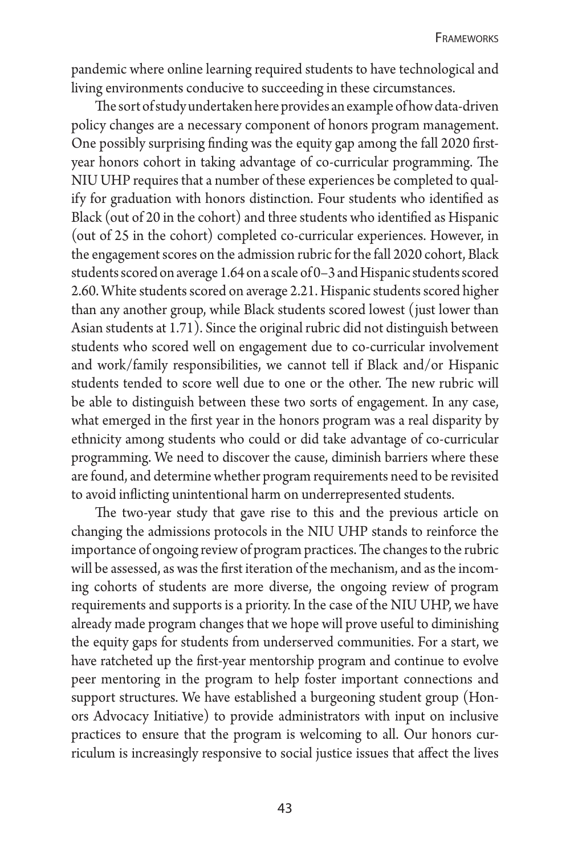pandemic where online learning required students to have technological and living environments conducive to succeeding in these circumstances.

The sort of study undertaken here provides an example of how data-driven policy changes are a necessary component of honors program management. One possibly surprising finding was the equity gap among the fall 2020 firstyear honors cohort in taking advantage of co-curricular programming. The NIU UHP requires that a number of these experiences be completed to qualify for graduation with honors distinction. Four students who identified as Black (out of 20 in the cohort) and three students who identified as Hispanic (out of 25 in the cohort) completed co-curricular experiences. However, in the engagement scores on the admission rubric for the fall 2020 cohort, Black students scored on average 1.64 on a scale of 0–3 and Hispanic students scored 2.60. White students scored on average 2.21. Hispanic students scored higher than any another group, while Black students scored lowest (just lower than Asian students at 1.71). Since the original rubric did not distinguish between students who scored well on engagement due to co-curricular involvement and work/family responsibilities, we cannot tell if Black and/or Hispanic students tended to score well due to one or the other. The new rubric will be able to distinguish between these two sorts of engagement. In any case, what emerged in the first year in the honors program was a real disparity by ethnicity among students who could or did take advantage of co-curricular programming. We need to discover the cause, diminish barriers where these are found, and determine whether program requirements need to be revisited to avoid inflicting unintentional harm on underrepresented students.

The two-year study that gave rise to this and the previous article on changing the admissions protocols in the NIU UHP stands to reinforce the importance of ongoing review of program practices. The changes to the rubric will be assessed, as was the first iteration of the mechanism, and as the incoming cohorts of students are more diverse, the ongoing review of program requirements and supports is a priority. In the case of the NIU UHP, we have already made program changes that we hope will prove useful to diminishing the equity gaps for students from underserved communities. For a start, we have ratcheted up the first-year mentorship program and continue to evolve peer mentoring in the program to help foster important connections and support structures. We have established a burgeoning student group (Honors Advocacy Initiative) to provide administrators with input on inclusive practices to ensure that the program is welcoming to all. Our honors curriculum is increasingly responsive to social justice issues that affect the lives